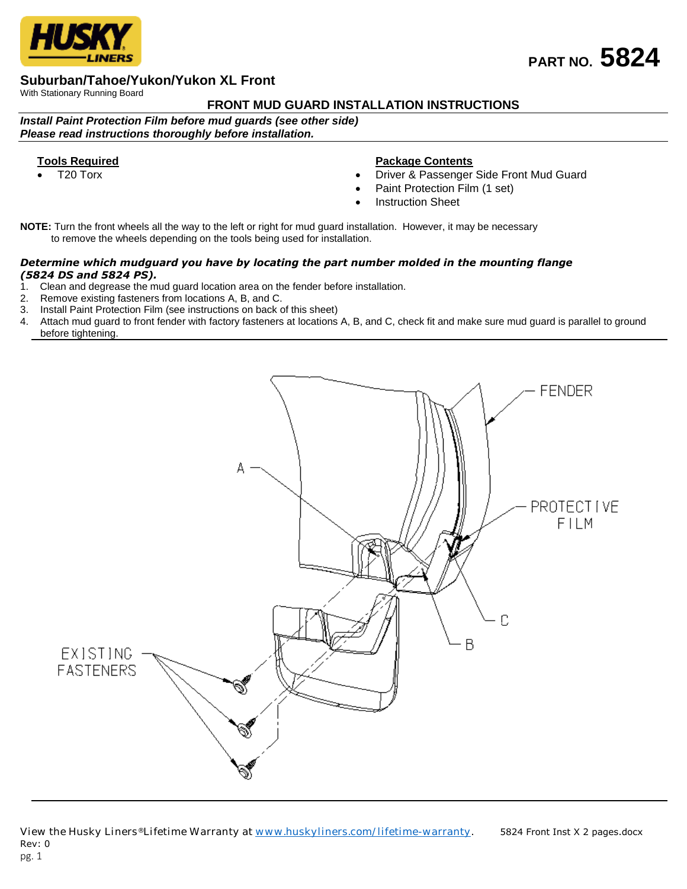

# **Suburban/Tahoe/Yukon/Yukon XL Front**

With Stationary Running Board

# **FRONT MUD GUARD INSTALLATION INSTRUCTIONS**

*Install Paint Protection Film before mud guards (see other side) Please read instructions thoroughly before installation.*

### **Tools Required**

T20 Torx

## **Package Contents**

- Driver & Passenger Side Front Mud Guard
- Paint Protection Film (1 set)
- Instruction Sheet

**NOTE:** Turn the front wheels all the way to the left or right for mud guard installation. However, it may be necessary to remove the wheels depending on the tools being used for installation.

#### *Determine which mudguard you have by locating the part number molded in the mounting flange (5824 DS and 5824 PS).*

- 1. Clean and degrease the mud guard location area on the fender before installation.
- 2. Remove existing fasteners from locations A, B, and C.
- 3. Install Paint Protection Film (see instructions on back of this sheet)<br>4. Attach mud quard to front fender with factory fasteners at locations
- Attach mud guard to front fender with factory fasteners at locations A, B, and C, check fit and make sure mud guard is parallel to ground before tightening.